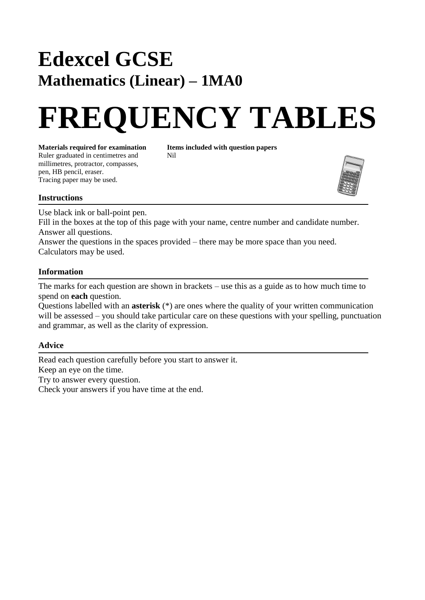## **Edexcel GCSE Mathematics (Linear) – 1MA0**

# **FREQUENCY TABLES**

**Materials required for examination Items included with question papers** Ruler graduated in centimetres and Nil millimetres, protractor, compasses, pen, HB pencil, eraser. Tracing paper may be used.



#### **Instructions**

Use black ink or ball-point pen.

Fill in the boxes at the top of this page with your name, centre number and candidate number. Answer all questions.

Answer the questions in the spaces provided – there may be more space than you need. Calculators may be used.

#### **Information**

The marks for each question are shown in brackets – use this as a guide as to how much time to spend on **each** question.

Questions labelled with an **asterisk** (\*) are ones where the quality of your written communication will be assessed – you should take particular care on these questions with your spelling, punctuation and grammar, as well as the clarity of expression.

#### **Advice**

Read each question carefully before you start to answer it. Keep an eye on the time. Try to answer every question. Check your answers if you have time at the end.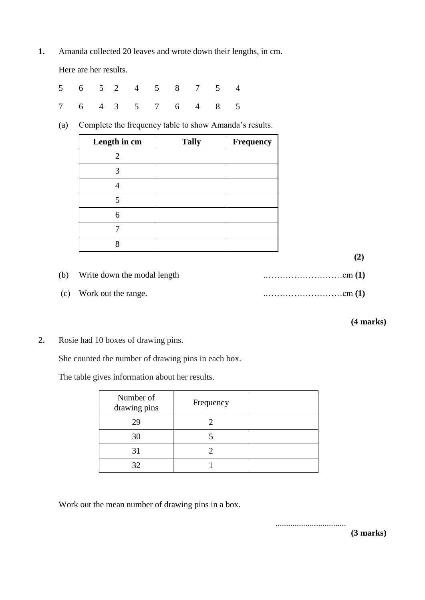**1.** Amanda collected 20 leaves and wrote down their lengths, in cm.

Here are her results.

|  |  | 5 6 5 2 4 5 8 7 5 4 |  |  |
|--|--|---------------------|--|--|
|  |  | 7 6 4 3 5 7 6 4 8 5 |  |  |

(a) Complete the frequency table to show Amanda's results.

| Length in cm | <b>Tally</b> | Frequency |
|--------------|--------------|-----------|
| 2            |              |           |
|              |              |           |
|              |              |           |
| 5            |              |           |
| 6            |              |           |
|              |              |           |
|              |              |           |

 **(2)**

| (b) Write down the modal length |  |
|---------------------------------|--|
| (c) Work out the range.         |  |

### **(4 marks)**

**2.** Rosie had 10 boxes of drawing pins.

She counted the number of drawing pins in each box.

The table gives information about her results.

| Number of<br>drawing pins | Frequency |  |
|---------------------------|-----------|--|
| 29                        |           |  |
| 30                        |           |  |
| 31                        |           |  |
| 32                        |           |  |

Work out the mean number of drawing pins in a box.

.................................

**(3 marks)**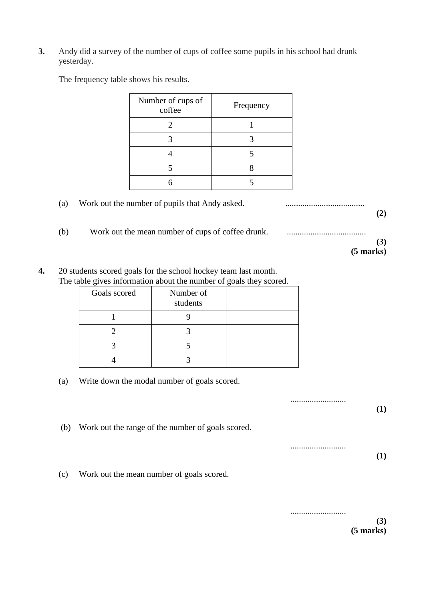**3.** Andy did a survey of the number of cups of coffee some pupils in his school had drunk yesterday.

The frequency table shows his results.

|     | Number of cups of<br>coffee                       | Frequency |             |
|-----|---------------------------------------------------|-----------|-------------|
|     | $\overline{2}$                                    | 1         |             |
|     | 3                                                 | 3         |             |
|     | $\overline{4}$                                    | 5         |             |
|     | 5                                                 | 8         |             |
|     | 6                                                 | 5         |             |
| (a) | Work out the number of pupils that Andy asked.    |           | (2)         |
| (b) | Work out the mean number of cups of coffee drunk. |           | (3)         |
|     |                                                   |           | $(5$ marks) |

**4.** 20 students scored goals for the school hockey team last month. The table gives information about the number of goals they scored.

| Goals scored | Number of<br>students |  |
|--------------|-----------------------|--|
|              |                       |  |
|              |                       |  |
|              |                       |  |
|              |                       |  |

(a) Write down the modal number of goals scored.

.......................... **(1)** (b) Work out the range of the number of goals scored. ..........................

(c) Work out the mean number of goals scored.

.......................... **(3) (5 marks)**

**(1)**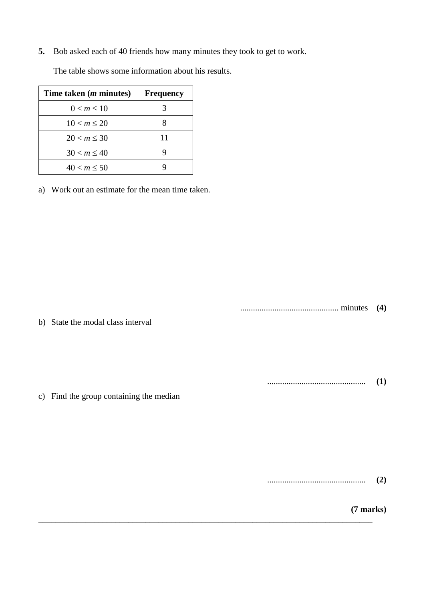**5.** Bob asked each of 40 friends how many minutes they took to get to work.

| Time taken ( <i>m</i> minutes) | <b>Frequency</b> |
|--------------------------------|------------------|
| 0 < m < 10                     |                  |
| 10 < m < 20                    |                  |
| $20 < m \leq 30$               | 11               |
| $30 < m \leq 40$               |                  |
| 40 < m < 50                    |                  |

The table shows some information about his results.

a) Work out an estimate for the mean time taken.

.............................................. minutes **(4)**

b) State the modal class interval

.............................................. **(1)**

c) Find the group containing the median

**\_\_\_\_\_\_\_\_\_\_\_\_\_\_\_\_\_\_\_\_\_\_\_\_\_\_\_\_\_\_\_\_\_\_\_\_\_\_\_\_\_\_\_\_\_\_\_\_\_\_\_\_\_\_\_\_\_\_\_\_\_\_\_\_\_\_\_\_\_\_\_\_\_\_\_\_\_\_**

.............................................. **(2)**

**(7 marks)**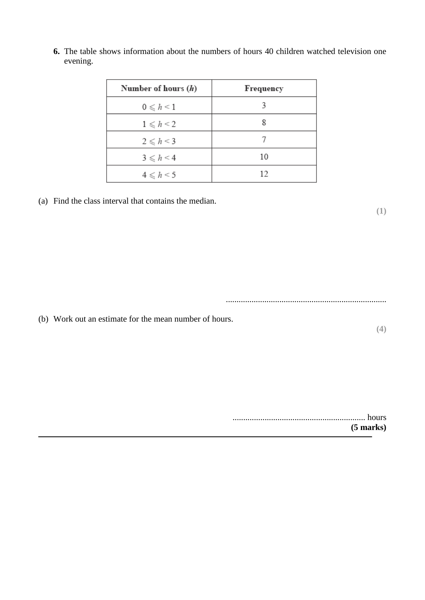| Number of hours $(h)$     | Frequency |
|---------------------------|-----------|
| $0\leqslant h\leqslant 1$ | 3         |
| $1 \leq h \leq 2$         | 8         |
| $2\leq h\leq 3$           |           |
| $3 \leq h \leq 4$         | 10        |
| $4 \leq h < 5$            | 12        |

**6.** The table shows information about the numbers of hours 40 children watched television one evening.

(a) Find the class interval that contains the median.

...........................................................................

**(1)**

**(4)**

(b) Work out an estimate for the mean number of hours.

.............................................................. hours **(5 marks)**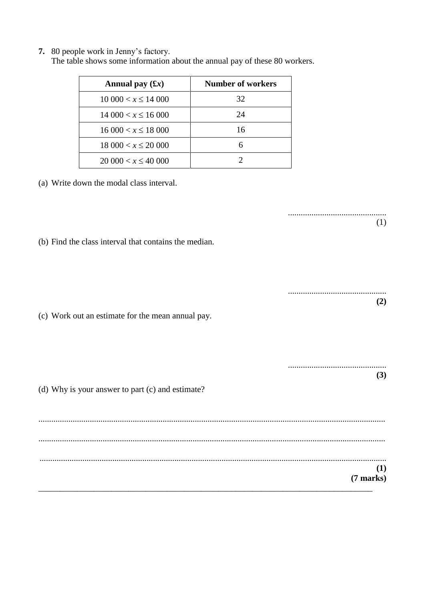**7.** 80 people work in Jenny's factory.

| The table shows some information about the annual pay of these 80 workers. |  |
|----------------------------------------------------------------------------|--|
|----------------------------------------------------------------------------|--|

| Annual pay $(f x)$         | <b>Number of workers</b> |
|----------------------------|--------------------------|
| $10\,000 < x \leq 14\,000$ | 32                       |
| $14\,000 < x \leq 16\,000$ | 24                       |
| $16000 < x \le 18000$      | 16                       |
| $18\,000 < x \leq 20\,000$ |                          |
| $20\,000 < x \leq 40\,000$ |                          |

(a) Write down the modal class interval.

.............................................. (1) (b) Find the class interval that contains the median. .............................................. **(2)** (c) Work out an estimate for the mean annual pay. .............................................. **(3)** (d) Why is your answer to part (c) and estimate? .................................................................................................................................................................. .................................................................................................................................................................. .................................................................................................................................................................. **(1) (7 marks)** \_\_\_\_\_\_\_\_\_\_\_\_\_\_\_\_\_\_\_\_\_\_\_\_\_\_\_\_\_\_\_\_\_\_\_\_\_\_\_\_\_\_\_\_\_\_\_\_\_\_\_\_\_\_\_\_\_\_\_\_\_\_\_\_\_\_\_\_\_\_\_\_\_\_\_\_\_\_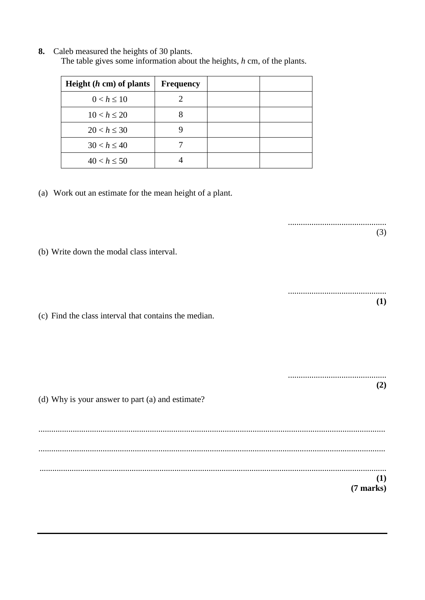**8.** Caleb measured the heights of 30 plants. The table gives some information about the heights, *h* cm, of the plants.

| Height $(h \text{ cm})$ of plants | Frequency |  |
|-----------------------------------|-----------|--|
| $0 < h \leq 10$                   |           |  |
| $10 < h \leq 20$                  |           |  |
| $20 < h \leq 30$                  |           |  |
| $30 < h \le 40$                   |           |  |
| $40 < h \le 50$                   |           |  |

(a) Work out an estimate for the mean height of a plant.

(b) Write down the modal class interval.

(c) Find the class interval that contains the median.

| (d) Why is your answer to part (a) and estimate? | $\mathbf{2}$ |
|--------------------------------------------------|--------------|
|                                                  |              |
|                                                  |              |
|                                                  | $(7$ marks)  |

..............................................

..............................................

(3)

**(1)**